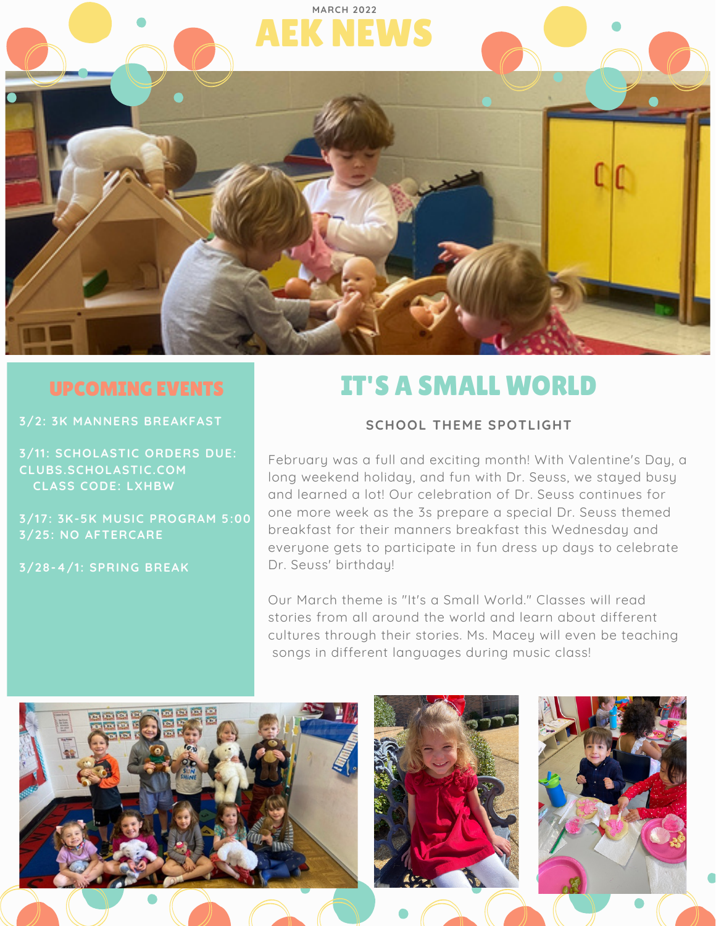

**3/2: 3K MANNERS BREAKFAST**

**3/11: SCHOLASTIC ORDERS DUE: CLUBS.SCHOLASTIC.COM CLASS CODE: LXHBW**

**3/17: 3K-5K MUSIC PROGRAM 5:00 3/25: NO AFTERCARE**

**3/28-4/1: SPRING BREAK**

# IT'S A SMALL WORLD

### **SCHOOL THEME SPOTLIGHT**

February was a full and exciting month! With Valentine's Day, a long weekend holiday, and fun with Dr. Seuss, we stayed busy and learned a lot! Our celebration of Dr. Seuss continues for one more week as the 3s prepare a special Dr. Seuss themed breakfast for their manners breakfast this Wednesday and everyone gets to participate in fun dress up days to celebrate Dr. Seuss' birthday!

Our March theme is "It's a Small World." Classes will read stories from all around the world and learn about different cultures through their stories. Ms. Macey will even be teaching songs in different languages during music class!